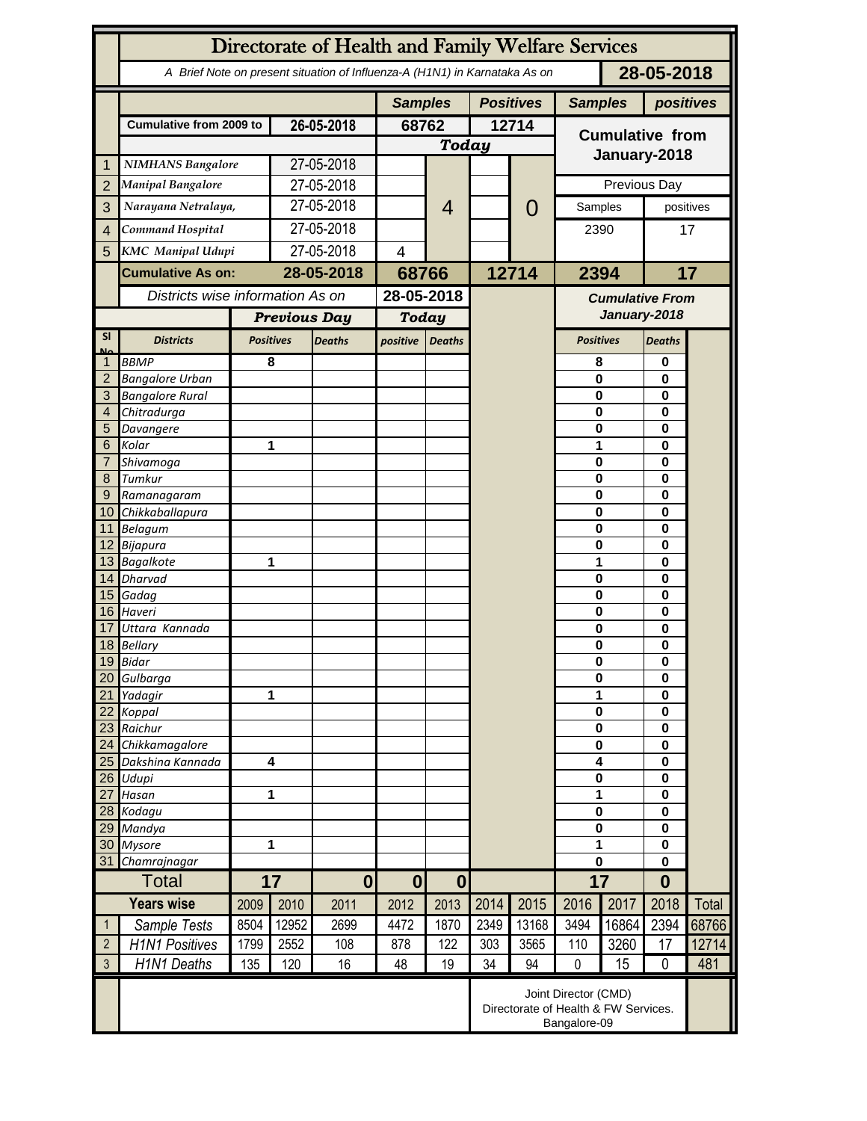|                      | Directorate of Health and Family Welfare Services                                        |      |                         |               |                                    |                  |                |                                                                              |                        |          |                      |              |  |
|----------------------|------------------------------------------------------------------------------------------|------|-------------------------|---------------|------------------------------------|------------------|----------------|------------------------------------------------------------------------------|------------------------|----------|----------------------|--------------|--|
|                      | 28-05-2018<br>A Brief Note on present situation of Influenza-A (H1N1) in Karnataka As on |      |                         |               |                                    |                  |                |                                                                              |                        |          |                      |              |  |
|                      |                                                                                          |      |                         |               | <b>Positives</b><br><b>Samples</b> |                  | <b>Samples</b> |                                                                              | positives              |          |                      |              |  |
|                      | <b>Cumulative from 2009 to</b>                                                           |      | 26-05-2018              |               | 68762                              |                  | 12714          |                                                                              | <b>Cumulative from</b> |          |                      |              |  |
|                      |                                                                                          |      |                         |               | <b>Today</b>                       |                  |                |                                                                              |                        |          |                      |              |  |
| 1                    | <b>NIMHANS Bangalore</b>                                                                 |      | 27-05-2018              |               |                                    |                  |                |                                                                              | January-2018           |          |                      |              |  |
| $\overline{2}$       | <b>Manipal Bangalore</b>                                                                 |      | 27-05-2018              |               |                                    |                  |                |                                                                              | Previous Day           |          |                      |              |  |
| 3                    | Narayana Netralaya,                                                                      |      | 27-05-2018              |               |                                    | 4                |                | $\mathcal{O}$                                                                | Samples                |          | positives            |              |  |
| $\overline{4}$       | Command Hospital                                                                         |      | 27-05-2018              |               |                                    |                  |                |                                                                              |                        |          | 17                   |              |  |
|                      | <b>KMC</b> Manipal Udupi                                                                 |      | 27-05-2018              |               | $\overline{\mathcal{A}}$           |                  |                |                                                                              | 2390                   |          |                      |              |  |
| 5                    |                                                                                          |      |                         |               |                                    |                  |                |                                                                              |                        |          | 17                   |              |  |
|                      | <b>Cumulative As on:</b>                                                                 |      | 28-05-2018              |               | 68766                              |                  | 12714          |                                                                              | 2394                   |          |                      |              |  |
|                      | Districts wise information As on                                                         |      |                         |               | 28-05-2018                         |                  |                |                                                                              | <b>Cumulative From</b> |          |                      |              |  |
|                      |                                                                                          |      | <b>Previous Day</b>     |               | <b>Today</b>                       |                  |                |                                                                              | January-2018           |          |                      |              |  |
| <b>SI</b><br>Mz      | <b>Districts</b>                                                                         |      | <b>Positives</b>        | <b>Deaths</b> | positive                           | <b>Deaths</b>    |                |                                                                              | <b>Positives</b>       |          | <b>Deaths</b>        |              |  |
|                      | <b>BBMP</b>                                                                              |      | 8                       |               |                                    |                  |                |                                                                              | 8                      |          | 0                    |              |  |
| $\overline{2}$       | <b>Bangalore Urban</b>                                                                   |      |                         |               |                                    |                  |                |                                                                              | $\mathbf{0}$           |          | 0                    |              |  |
| 3                    | <b>Bangalore Rural</b>                                                                   |      |                         |               |                                    |                  |                |                                                                              | 0                      |          | $\bf{0}$             | 0            |  |
| 4                    | Chitradurga                                                                              |      |                         |               |                                    |                  |                |                                                                              | 0                      |          |                      |              |  |
| 5                    | Davangere                                                                                |      |                         |               |                                    |                  |                |                                                                              | 0                      |          | 0                    |              |  |
| 6                    | Kolar                                                                                    |      |                         | 1             |                                    |                  |                |                                                                              | 1                      |          |                      | 0<br>0       |  |
| 7                    | Shivamoga<br>Tumkur                                                                      |      |                         |               |                                    |                  |                |                                                                              | $\mathbf 0$            |          |                      |              |  |
| 8                    |                                                                                          |      |                         |               |                                    |                  |                |                                                                              | $\mathbf 0$            |          | 0                    |              |  |
| 9<br>10 <sup>°</sup> | Ramanagaram<br>Chikkaballapura                                                           |      |                         |               |                                    |                  |                |                                                                              | $\mathbf 0$<br>0       |          | 0<br>0               |              |  |
|                      | 11 Belagum                                                                               |      |                         |               |                                    |                  |                |                                                                              | 0                      |          | 0                    |              |  |
|                      | 12 Bijapura                                                                              |      |                         |               |                                    |                  |                |                                                                              | 0                      |          | $\bf{0}$             |              |  |
|                      | 13 Bagalkote<br>1                                                                        |      |                         |               |                                    |                  |                |                                                                              | 1                      | $\bf{0}$ |                      |              |  |
|                      | 14 Dharvad                                                                               |      |                         |               |                                    |                  |                |                                                                              | $\mathbf 0$            | 0        |                      |              |  |
|                      | 15 Gadag                                                                                 |      |                         |               |                                    |                  |                |                                                                              | $\mathbf 0$            |          | 0                    |              |  |
|                      | 16 Haveri                                                                                |      |                         |               |                                    |                  |                |                                                                              | $\mathbf 0$            |          | $\bf{0}$             |              |  |
| 17                   | Uttara Kannada                                                                           |      |                         |               |                                    |                  |                |                                                                              | 0                      |          | 0                    |              |  |
|                      | 18 Bellary                                                                               |      |                         |               |                                    |                  |                |                                                                              | 0                      |          | 0                    |              |  |
|                      | 19 Bidar                                                                                 |      |                         |               |                                    |                  |                |                                                                              | 0                      |          | 0                    |              |  |
| 20<br>21             | Gulbarga<br>Yadagir                                                                      | 1    |                         |               |                                    |                  |                |                                                                              | $\bf{0}$<br>1          |          | 0<br>0               |              |  |
| 22                   | Koppal                                                                                   |      |                         |               |                                    |                  |                |                                                                              | $\bf{0}$               |          | $\bf{0}$             |              |  |
| 23                   | Raichur                                                                                  |      |                         |               |                                    |                  |                |                                                                              |                        | $\bf{0}$ |                      |              |  |
| 24                   | Chikkamagalore                                                                           |      |                         |               |                                    |                  |                |                                                                              |                        | $\bf{0}$ | $\bf{0}$<br>$\bf{0}$ |              |  |
| 25                   | Dakshina Kannada                                                                         |      | $\overline{\mathbf{4}}$ |               |                                    |                  |                |                                                                              | 4                      |          | $\bf{0}$             |              |  |
| 26                   | Udupi                                                                                    |      |                         |               |                                    |                  |                |                                                                              | $\pmb{0}$              |          | $\bf{0}$             |              |  |
| 27                   | Hasan                                                                                    |      | 1                       |               |                                    |                  |                |                                                                              | 1                      |          | $\bf{0}$             |              |  |
|                      | 28 Kodagu                                                                                |      |                         |               |                                    |                  |                |                                                                              | $\pmb{0}$              |          | $\bf{0}$             |              |  |
| 29                   | Mandya                                                                                   |      |                         |               |                                    |                  |                |                                                                              | $\bf{0}$               |          | $\bf{0}$             |              |  |
| 30                   | <b>Mysore</b>                                                                            |      | 1                       |               |                                    |                  |                |                                                                              | 1                      |          | $\bf{0}$             |              |  |
| 31                   | Chamrajnagar                                                                             |      |                         |               |                                    |                  |                |                                                                              | 0<br>17                |          | $\bf{0}$             |              |  |
| <b>Total</b>         |                                                                                          | 17   |                         | $\mathbf{0}$  | $\bf{0}$                           | $\boldsymbol{0}$ |                |                                                                              |                        |          | $\bf{0}$             |              |  |
|                      | <b>Years wise</b>                                                                        | 2009 | 2010                    | 2011          | 2012                               | 2013             | 2014           | 2015                                                                         | 2016                   | 2017     | 2018                 | <b>Total</b> |  |
| $\mathbf{1}$         | Sample Tests                                                                             | 8504 | 12952                   | 2699          | 4472                               | 1870             | 2349           | 13168                                                                        | 3494                   | 16864    | 2394                 | 68766        |  |
| $\overline{2}$       | <b>H1N1 Positives</b>                                                                    | 1799 | 2552                    | 108           | 878                                | 122              | 303            | 3565                                                                         | 110                    | 3260     | 17                   | 12714        |  |
| $\mathfrak{Z}$       | H1N1 Deaths                                                                              | 135  | 120                     | 16            | 48                                 | 19               | 34             | 94                                                                           | $\mathbf 0$            | 15       | $\mathbf 0$          | 481          |  |
|                      |                                                                                          |      |                         |               |                                    |                  |                | Joint Director (CMD)<br>Directorate of Health & FW Services.<br>Bangalore-09 |                        |          |                      |              |  |